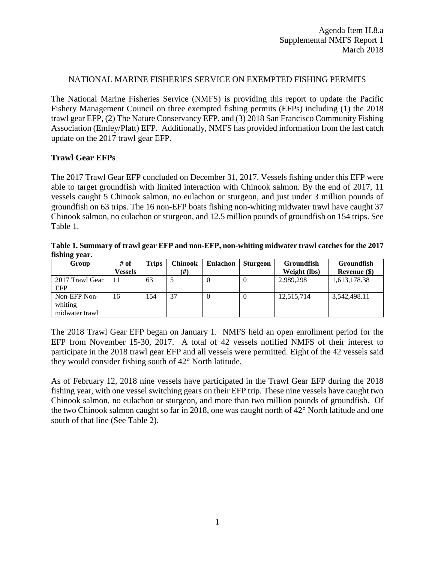## NATIONAL MARINE FISHERIES SERVICE ON EXEMPTED FISHING PERMITS

The National Marine Fisheries Service (NMFS) is providing this report to update the Pacific Fishery Management Council on three exempted fishing permits (EFPs) including (1) the 2018 trawl gear EFP, (2) The Nature Conservancy EFP, and (3) 2018 San Francisco Community Fishing Association (Emley/Platt) EFP. Additionally, NMFS has provided information from the last catch update on the 2017 trawl gear EFP.

## **Trawl Gear EFPs**

The 2017 Trawl Gear EFP concluded on December 31, 2017. Vessels fishing under this EFP were able to target groundfish with limited interaction with Chinook salmon. By the end of 2017, 11 vessels caught 5 Chinook salmon, no eulachon or sturgeon, and just under 3 million pounds of groundfish on 63 trips. The 16 non-EFP boats fishing non-whiting midwater trawl have caught 37 Chinook salmon, no eulachon or sturgeon, and 12.5 million pounds of groundfish on 154 trips. See Table 1.

**Table 1. Summary of trawl gear EFP and non-EFP, non-whiting midwater trawl catches for the 2017 fishing year.** 

| Group                                     | # of    | Trips | Chinook | <b>Eulachon</b> | <b>Sturgeon</b> | <b>Groundfish</b> | <b>Groundfish</b> |
|-------------------------------------------|---------|-------|---------|-----------------|-----------------|-------------------|-------------------|
|                                           | Vessels |       | (#)     |                 |                 | Weight (lbs)      | Revenue (\$)      |
| 2017 Trawl Gear<br><b>EFP</b>             |         | 63    |         |                 | $\theta$        | 2,989,298         | 1,613,178.38      |
| Non-EFP Non-<br>whiting<br>midwater trawl | 16      | 154   | 37      |                 | $\theta$        | 12,515,714        | 3,542,498.11      |

The 2018 Trawl Gear EFP began on January 1. NMFS held an open enrollment period for the EFP from November 15-30, 2017. A total of 42 vessels notified NMFS of their interest to participate in the 2018 trawl gear EFP and all vessels were permitted. Eight of the 42 vessels said they would consider fishing south of 42° North latitude.

As of February 12, 2018 nine vessels have participated in the Trawl Gear EFP during the 2018 fishing year, with one vessel switching gears on their EFP trip. These nine vessels have caught two Chinook salmon, no eulachon or sturgeon, and more than two million pounds of groundfish. Of the two Chinook salmon caught so far in 2018, one was caught north of 42° North latitude and one south of that line (See Table 2).